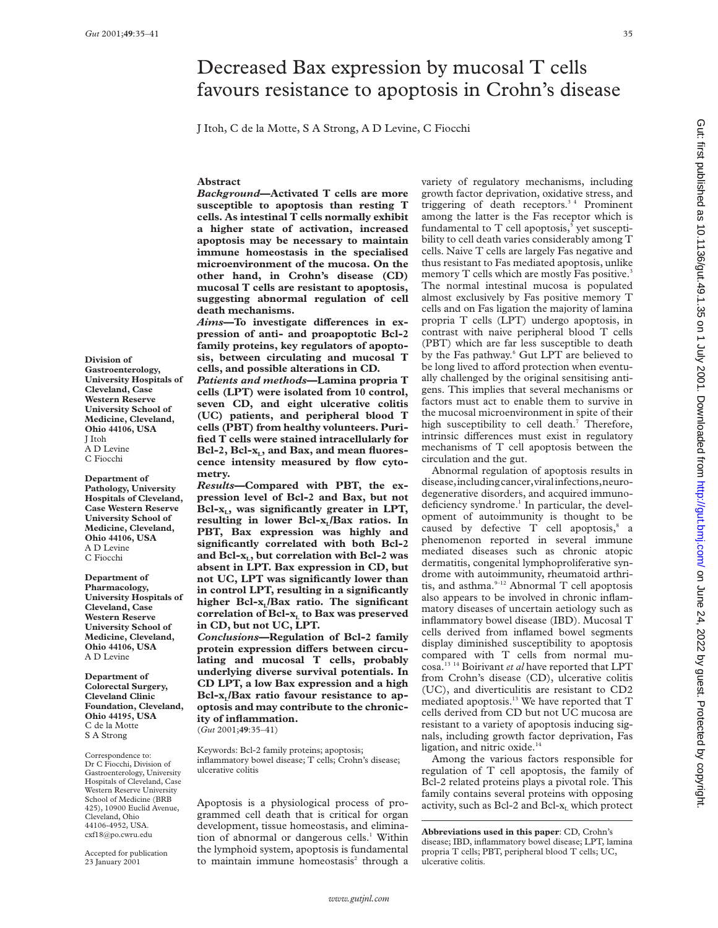Gut: first published as 10.1136/gut.49.1.35 on 1 July 2001. Downloaded from http://gut.bmj.com/ on June 24, 2022 by guest. Protected by copyright on June 24, 2022 by guest. Protected by copyright. <http://gut.bmj.com/> Gut: first published as 10.1136/gut.49.1.35 on 1 July 2001. Downloaded from

# Decreased Bax expression by mucosal T cells favours resistance to apoptosis in Crohn's disease

J Itoh, C de la Motte, S A Strong, A D Levine, C Fiocchi

# **Abstract**

*Background***—Activated T cells are more susceptible to apoptosis than resting T cells. As intestinal T cells normally exhibit a higher state of activation, increased apoptosis may be necessary to maintain immune homeostasis in the specialised microenvironment of the mucosa. On the other hand, in Crohn's disease (CD) mucosal T cells are resistant to apoptosis, suggesting abnormal regulation of cell death mechanisms.**

Aims-To investigate differences in ex**pression of anti- and proapoptotic Bcl-2 family proteins, key regulators of apoptosis, between circulating and mucosal T cells, and possible alterations in CD.**

*Patients and methods***—Lamina propria T cells (LPT) were isolated from 10 control, seven CD, and eight ulcerative colitis (UC) patients, and peripheral blood T cells (PBT) from healthy volunteers. Purified T cells were stained intracellularly for** Bcl-2, Bcl-x<sub>L</sub>, and Bax, and mean fluores**cence intensity measured by flow cytometry.**

*Results***—Compared with PBT, the expression level of Bcl-2 and Bax, but not** Bcl-x<sub>L</sub>, was significantly greater in LPT, resulting in lower Bcl-x<sub>L</sub>/Bax ratios. In **PBT, Bax expression was highly and significantly correlated with both Bcl-2** and Bcl-x<sub>1</sub>, but correlation with Bcl-2 was **absent in LPT. Bax expression in CD, but not UC, LPT was significantly lower than in control LPT, resulting in a significantly** higher Bcl-x<sub>1</sub>/Bax ratio. The significant correlation of Bcl-x<sub>L</sub> to Bax was preserved **in CD, but not UC, LPT.**

*Conclusions***—Regulation of Bcl-2 family** protein expression differs between circu**lating and mucosal T cells, probably underlying diverse survival potentials. In CD LPT, a low Bax expression and a high** Bcl-x<sub>L</sub>/Bax ratio favour resistance to ap**optosis and may contribute to the chronicity of inflammation.** (*Gut* 2001;**49**:35–41)

Keywords: Bcl-2 family proteins; apoptosis; inflammatory bowel disease; T cells; Crohn's disease; ulcerative colitis

Apoptosis is a physiological process of programmed cell death that is critical for organ development, tissue homeostasis, and elimination of abnormal or dangerous cells.<sup>1</sup> Within the lymphoid system, apoptosis is fundamental to maintain immune homeostasis<sup>2</sup> through a

variety of regulatory mechanisms, including growth factor deprivation, oxidative stress, and triggering of death receptors.<sup>34</sup> Prominent among the latter is the Fas receptor which is fundamental to  $T$  cell apoptosis,<sup>5</sup> yet susceptibility to cell death varies considerably among T cells. Naive T cells are largely Fas negative and thus resistant to Fas mediated apoptosis, unlike memory T cells which are mostly Fas positive.<sup>3</sup> The normal intestinal mucosa is populated almost exclusively by Fas positive memory T cells and on Fas ligation the majority of lamina propria T cells (LPT) undergo apoptosis, in contrast with naive peripheral blood T cells (PBT) which are far less susceptible to death by the Fas pathway.<sup>6</sup> Gut LPT are believed to be long lived to afford protection when eventually challenged by the original sensitising antigens. This implies that several mechanisms or factors must act to enable them to survive in the mucosal microenvironment in spite of their high susceptibility to cell death.<sup>7</sup> Therefore, intrinsic differences must exist in regulatory mechanisms of T cell apoptosis between the circulation and the gut.

Abnormal regulation of apoptosis results in disease,includingcancer,viralinfections,neurodegenerative disorders, and acquired immunodeficiency syndrome.<sup>1</sup> In particular, the development of autoimmunity is thought to be caused by defective  $T$  cell apoptosis, $s$  a phenomenon reported in several immune mediated diseases such as chronic atopic dermatitis, congenital lymphoproliferative syndrome with autoimmunity, rheumatoid arthritis, and asthma. $9-12$  Abnormal T cell apoptosis also appears to be involved in chronic inflammatory diseases of uncertain aetiology such as inflammatory bowel disease (IBD). Mucosal T cells derived from inflamed bowel segments display diminished susceptibility to apoptosis compared with T cells from normal mucosa.13 14 Boirivant *et al* have reported that LPT from Crohn's disease (CD), ulcerative colitis (UC), and diverticulitis are resistant to CD2 mediated apoptosis.<sup>13</sup> We have reported that T cells derived from CD but not UC mucosa are resistant to a variety of apoptosis inducing signals, including growth factor deprivation, Fas ligation, and nitric oxide.<sup>14</sup>

Among the various factors responsible for regulation of T cell apoptosis, the family of Bcl-2 related proteins plays a pivotal role. This family contains several proteins with opposing activity, such as Bcl-2 and Bcl- $x_1$  which protect

**Division of Gastroenterology, University Hospitals of Cleveland, Case Western Reserve University School of Medicine, Cleveland, Ohio 44106, USA** J Itoh A D Levine C Fiocchi

**Department of Pathology, University Hospitals of Cleveland, Case Western Reserve University School of Medicine, Cleveland, Ohio 44106, USA** A D Levine C Fiocchi

**Department of Pharmacology, University Hospitals of Cleveland, Case Western Reserve University School of Medicine, Cleveland, Ohio 44106, USA** A D Levine

**Department of Colorectal Surgery, Cleveland Clinic Foundation, Cleveland, Ohio 44195, USA** C de la Motte S A Strong

Correspondence to: Dr C Fiocchi, Division of Gastroenterology, University Hospitals of Cleveland, Case Western Reserve University School of Medicine (BRB 425), 10900 Euclid Avenue, Cleveland, Ohio 44106-4952, USA. cxf18@po.cwru.edu

Accepted for publication 23 January 2001

**Abbreviations used in this paper**: CD, Crohn's disease; IBD, inflammatory bowel disease; LPT, lamina propria T cells; PBT, peripheral blood T cells; UC, ulcerative colitis.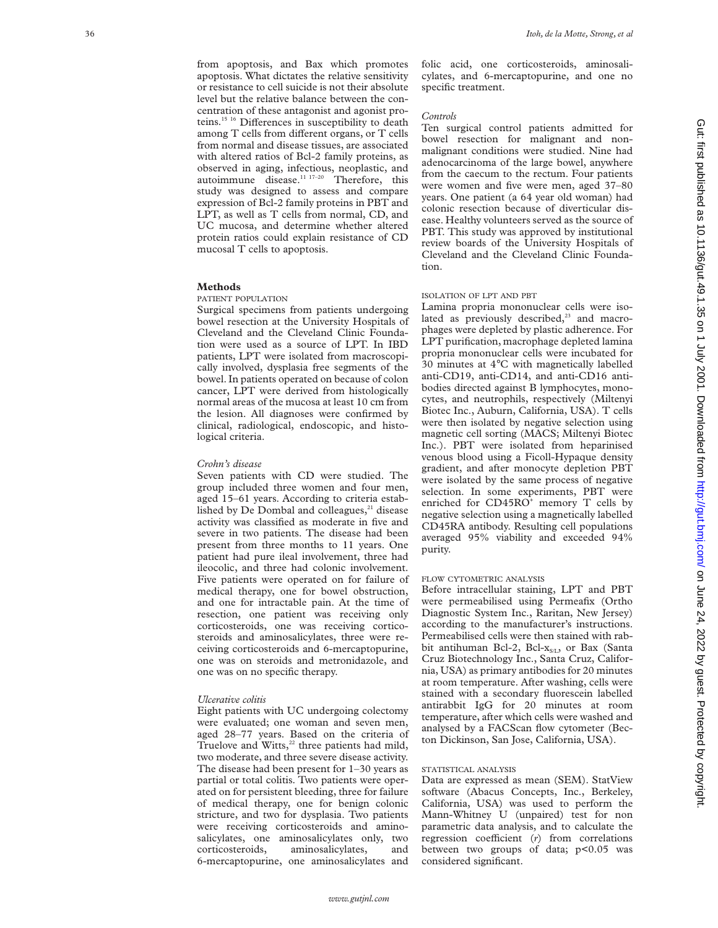from apoptosis, and Bax which promotes apoptosis. What dictates the relative sensitivity or resistance to cell suicide is not their absolute level but the relative balance between the concentration of these antagonist and agonist proteins.<sup>15 16</sup> Differences in susceptibility to death among T cells from different organs, or T cells from normal and disease tissues, are associated with altered ratios of Bcl-2 family proteins, as observed in aging, infectious, neoplastic, and autoimmune disease.<sup>11 17-20</sup> Therefore, this study was designed to assess and compare expression of Bcl-2 family proteins in PBT and LPT, as well as T cells from normal, CD, and UC mucosa, and determine whether altered protein ratios could explain resistance of CD mucosal T cells to apoptosis.

## **Methods**

#### PATIENT POPULATION

Surgical specimens from patients undergoing bowel resection at the University Hospitals of Cleveland and the Cleveland Clinic Foundation were used as a source of LPT. In IBD patients, LPT were isolated from macroscopically involved, dysplasia free segments of the bowel. In patients operated on because of colon cancer, LPT were derived from histologically normal areas of the mucosa at least 10 cm from the lesion. All diagnoses were confirmed by clinical, radiological, endoscopic, and histological criteria.

## *Crohn's disease*

Seven patients with CD were studied. The group included three women and four men, aged 15–61 years. According to criteria established by De Dombal and colleagues, $21$  disease activity was classified as moderate in five and severe in two patients. The disease had been present from three months to 11 years. One patient had pure ileal involvement, three had ileocolic, and three had colonic involvement. Five patients were operated on for failure of medical therapy, one for bowel obstruction, and one for intractable pain. At the time of resection, one patient was receiving only corticosteroids, one was receiving corticosteroids and aminosalicylates, three were receiving corticosteroids and 6-mercaptopurine, one was on steroids and metronidazole, and one was on no specific therapy.

## *Ulcerative colitis*

Eight patients with UC undergoing colectomy were evaluated; one woman and seven men, aged 28–77 years. Based on the criteria of Truelove and Witts, $22$  three patients had mild, two moderate, and three severe disease activity. The disease had been present for 1–30 years as partial or total colitis. Two patients were operated on for persistent bleeding, three for failure of medical therapy, one for benign colonic stricture, and two for dysplasia. Two patients were receiving corticosteroids and aminosalicylates, one aminosalicylates only, two corticosteroids, aminosalicylates, and 6-mercaptopurine, one aminosalicylates and folic acid, one corticosteroids, aminosalicylates, and 6-mercaptopurine, and one no specific treatment.

### *Controls*

Ten surgical control patients admitted for bowel resection for malignant and nonmalignant conditions were studied. Nine had adenocarcinoma of the large bowel, anywhere from the caecum to the rectum. Four patients were women and five were men, aged 37–80 years. One patient (a 64 year old woman) had colonic resection because of diverticular disease. Healthy volunteers served as the source of PBT. This study was approved by institutional review boards of the University Hospitals of Cleveland and the Cleveland Clinic Foundation.

# ISOLATION OF LPT AND PBT

Lamina propria mononuclear cells were isolated as previously described, $23$  and macrophages were depleted by plastic adherence. For LPT purification, macrophage depleted lamina propria mononuclear cells were incubated for 30 minutes at 4 °C with magnetically labelled anti-CD19, anti-CD14, and anti-CD16 antibodies directed against B lymphocytes, monocytes, and neutrophils, respectively (Miltenyi Biotec Inc., Auburn, California, USA). T cells were then isolated by negative selection using magnetic cell sorting (MACS; Miltenyi Biotec Inc.). PBT were isolated from heparinised venous blood using a Ficoll-Hypaque density gradient, and after monocyte depletion PBT were isolated by the same process of negative selection. In some experiments, PBT were enriched for CD45RO<sup>+</sup> memory T cells by negative selection using a magnetically labelled CD45RA antibody. Resulting cell populations averaged 95% viability and exceeded 94% purity.

## FLOW CYTOMETRIC ANALYSIS

Before intracellular staining, LPT and PBT were permeabilised using Permeafix (Ortho Diagnostic System Inc., Raritan, New Jersey) according to the manufacturer's instructions. Permeabilised cells were then stained with rabbit antihuman Bcl-2, Bcl- $x_{sL}$ , or Bax (Santa Cruz Biotechnology Inc., Santa Cruz, California, USA) as primary antibodies for 20 minutes at room temperature. After washing, cells were stained with a secondary fluorescein labelled antirabbit IgG for 20 minutes at room temperature, after which cells were washed and analysed by a FACScan flow cytometer (Becton Dickinson, San Jose, California, USA).

#### STATISTICAL ANALYSIS

Data are expressed as mean (SEM). StatView software (Abacus Concepts, Inc., Berkeley, California, USA) was used to perform the Mann-Whitney U (unpaired) test for non parametric data analysis, and to calculate the regression coefficient (r) from correlations between two groups of data; p<0.05 was considered significant.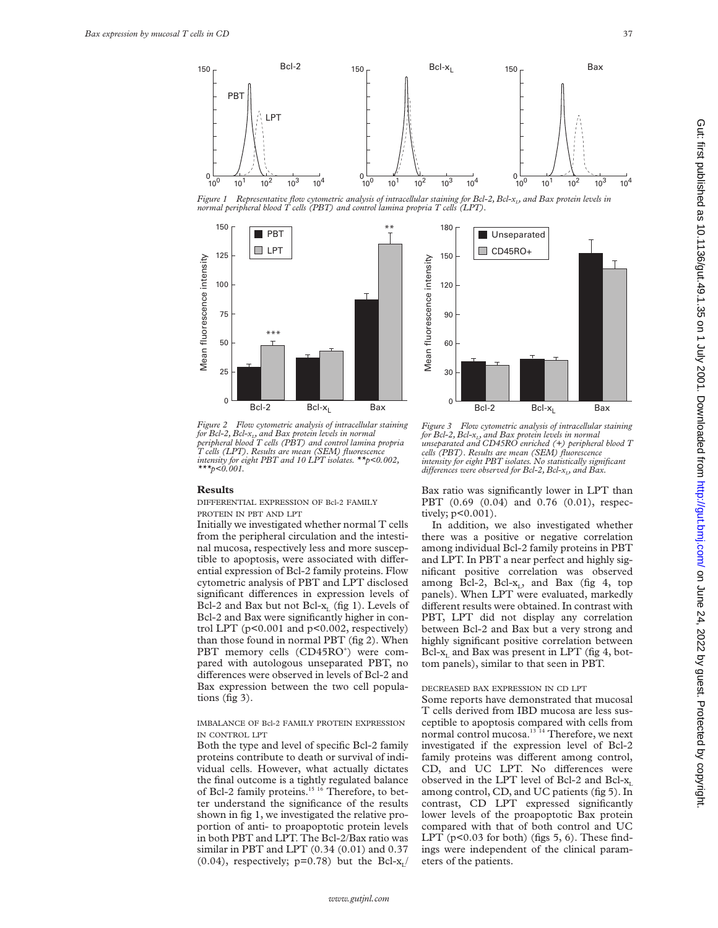

Figure 1 Representative flow cytometric analysis of intracellular staining for Bcl-2, Bcl-x<sub>1</sub>, and Bax protein levels in<br>normal peripheral blood T cells (PBT) and control lamina propria T cells (LPT).





*Figure 2 Flow cytometric analysis of intracellular staining* for Bcl-2, Bcl-x<sub>1</sub>, and Bax protein levels in normal<br>peripheral blood T cells (PBT) and control lamina propria<br>T cells (LPT). Results are mean (SEM) fluorescence *intensity for eight PBT and 10 LPT isolates. \*\*p<0.002, \*\*\*p<0.001.*

#### **Results**

DIFFERENTIAL EXPRESSION OF Bcl-2 FAMILY PROTEIN IN PBT AND LPT

Initially we investigated whether normal T cells from the peripheral circulation and the intestinal mucosa, respectively less and more susceptible to apoptosis, were associated with differential expression of Bcl-2 family proteins. Flow cytometric analysis of PBT and LPT disclosed significant differences in expression levels of Bcl-2 and Bax but not Bcl- $x_L$  (fig 1). Levels of Bcl-2 and Bax were significantly higher in control LPT (p<0.001 and p<0.002, respectively) than those found in normal PBT (fig 2). When PBT memory cells (CD45RO<sup>+</sup>) were compared with autologous unseparated PBT, no differences were observed in levels of Bcl-2 and Bax expression between the two cell populations (fig 3).

## IMBALANCE OF Bcl-2 FAMILY PROTEIN EXPRESSION IN CONTROL LPT

Both the type and level of specific Bcl-2 family proteins contribute to death or survival of individual cells. However, what actually dictates the final outcome is a tightly regulated balance of Bcl-2 family proteins.<sup>15 16</sup> Therefore, to better understand the significance of the results shown in fig 1, we investigated the relative proportion of anti- to proapoptotic protein levels in both PBT and LPT. The Bcl-2/Bax ratio was similar in PBT and LPT (0.34 (0.01) and 0.37  $(0.04)$ , respectively; p=0.78) but the Bcl-x<sub>L</sub>/

*Figure 3 Flow cytometric analysis of intracellular staining* for Bcl-2, Bcl-x<sub>12</sub> and Bax protein levels in normal<br>unseparated and CD45RO enriched (+) peripheral blood T<br>cells (PBT). Results are mean (SEM) fluorescence<br>intensity for eight PBT isolates. No statistically significant *differences were observed for Bcl-2, Bcl-x<sub>1</sub>, and Bax.* 

Bax ratio was significantly lower in LPT than PBT (0.69 (0.04) and 0.76 (0.01), respectively; p<0.001).

In addition, we also investigated whether there was a positive or negative correlation among individual Bcl-2 family proteins in PBT and LPT. In PBT a near perfect and highly significant positive correlation was observed among Bcl-2, Bcl- $x_i$ , and Bax (fig 4, top panels). When LPT were evaluated, markedly different results were obtained. In contrast with PBT, LPT did not display any correlation between Bcl-2 and Bax but a very strong and highly significant positive correlation between Bcl- $x_L$  and Bax was present in LPT (fig 4, bottom panels), similar to that seen in PBT.

## DECREASED BAX EXPRESSION IN CD LPT

Some reports have demonstrated that mucosal T cells derived from IBD mucosa are less susceptible to apoptosis compared with cells from normal control mucosa.<sup>13 14</sup> Therefore, we next investigated if the expression level of Bcl-2 family proteins was different among control, CD, and UC LPT. No differences were observed in the LPT level of Bcl-2 and Bcl- $x_L$ among control, CD, and UC patients (fig 5). In contrast, CD LPT expressed significantly lower levels of the proapoptotic Bax protein compared with that of both control and UC LPT ( $p<0.03$  for both) (figs 5, 6). These findings were independent of the clinical parameters of the patients.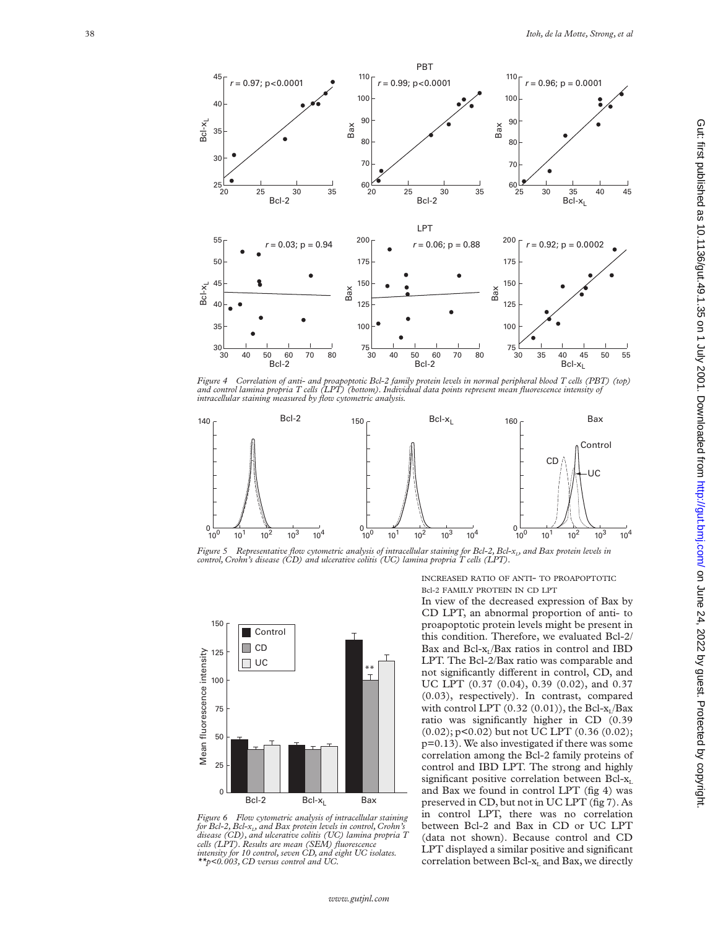

*Figure 4 Correlation of anti- and proapoptotic Bcl-2 family protein levels in normal peripheral blood T cells (PBT) (top) and control lamina propria T cells (LPT) (bottom). Individual data points represent mean fluorescence intensity of intracellular staining measured by flow cytometric analysis.*



INCREASED RATIO OF ANTI- TO PROAPOPTOTIC Bcl-2 FAMILY PROTEIN IN CD LPT



Bax

*Figure 6 Flow cytometric analysis of intracellular staining for Bcl-2, Bcl-x L, and Bax protein levels in control, Crohn's disease (CD), and ulcerative colitis (UC) lamina propria T cells (LPT). Results are mean (SEM) fluorescence intensity for 10 control, seven CD, and eight UC isolates.*

 $Bcl-2$  Bcl- $x_1$ 

UC \*\*

*\*\*p<0.003, CD versus control and UC.*

Control CD

T.

150

125

100

75

Mean fluorescence intensity

Mean fluorescence intensity

50

250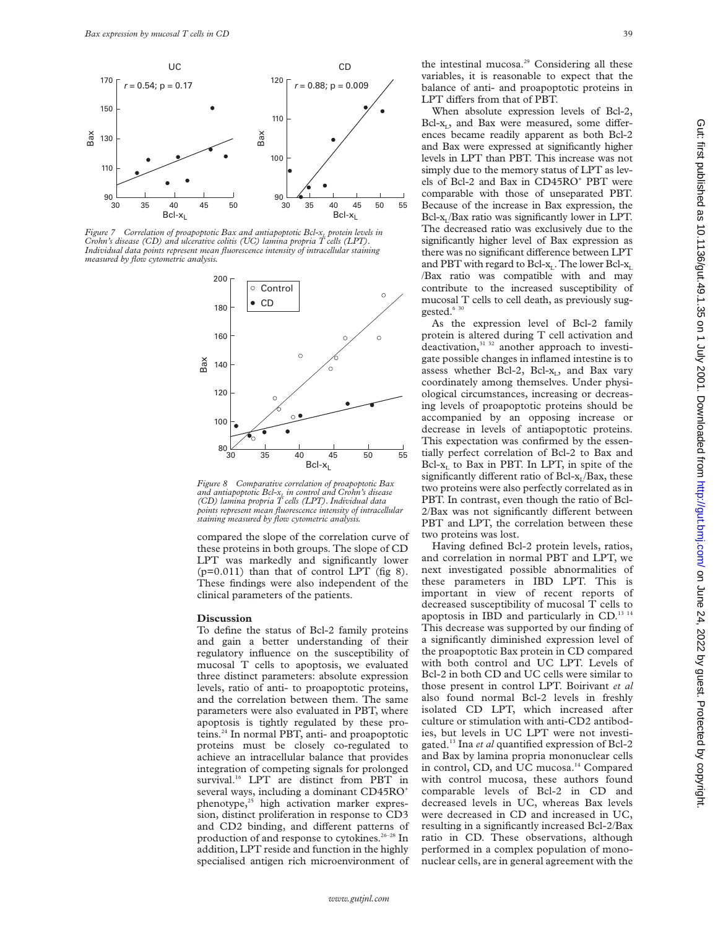

Figure 7  $\,$  Correlation of proapoptotic Bax and antiapoptotic Bcl-x<sub>L</sub> protein levels in<br>Crohn's disease (CD) and ulcerative colitis (UC) lamina propria T cells (LPT). *Individual data points represent mean fluorescence intensity of intracellular staining measured by flow cytometric analysis.*



*Figure 8 Comparative correlation of proapoptotic Bax and antiapoptotic Bcl-xL in control and Crohn's disease (CD) lamina propria T cells (LPT). Individual data points represent mean fluorescence intensity of intracellular staining measured by flow cytometric analysis.*

compared the slope of the correlation curve of these proteins in both groups. The slope of CD LPT was markedly and significantly lower  $(p=0.011)$  than that of control LPT (fig 8). These findings were also independent of the clinical parameters of the patients.

## **Discussion**

To define the status of Bcl-2 family proteins and gain a better understanding of their regulatory influence on the susceptibility of mucosal T cells to apoptosis, we evaluated three distinct parameters: absolute expression levels, ratio of anti- to proapoptotic proteins, and the correlation between them. The same parameters were also evaluated in PBT, where apoptosis is tightly regulated by these proteins.24 In normal PBT, anti- and proapoptotic proteins must be closely co-regulated to achieve an intracellular balance that provides integration of competing signals for prolonged survival.<sup>16</sup> LPT are distinct from PBT in several ways, including a dominant CD45RO<sup>+</sup> phenotype,<sup>25</sup> high activation marker expression, distinct proliferation in response to CD3 and CD2 binding, and different patterns of production of and response to cytokines.<sup>26-28</sup> In addition, LPT reside and function in the highly specialised antigen rich microenvironment of

the intestinal mucosa.<sup>29</sup> Considering all these variables, it is reasonable to expect that the balance of anti- and proapoptotic proteins in LPT differs from that of PBT.

When absolute expression levels of Bcl-2, Bcl- $x_L$ , and Bax were measured, some differences became readily apparent as both Bcl-2 and Bax were expressed at significantly higher levels in LPT than PBT. This increase was not simply due to the memory status of LPT as levels of Bcl-2 and Bax in CD45RO+ PBT were comparable with those of unseparated PBT. Because of the increase in Bax expression, the  $Bcl-x<sub>I</sub>/Bax$  ratio was significantly lower in LPT. The decreased ratio was exclusively due to the significantly higher level of Bax expression as there was no significant difference between LPT and PBT with regard to Bcl- $x_L$ . The lower Bcl- $x_L$ . /Bax ratio was compatible with and may contribute to the increased susceptibility of mucosal T cells to cell death, as previously suggested.<sup>6 30</sup>

As the expression level of Bcl-2 family protein is altered during T cell activation and deactivation,<sup>31 32</sup> another approach to investigate possible changes in inflamed intestine is to assess whether Bcl-2, Bcl- $x_i$ , and Bax vary coordinately among themselves. Under physiological circumstances, increasing or decreasing levels of proapoptotic proteins should be accompanied by an opposing increase or decrease in levels of antiapoptotic proteins. This expectation was confirmed by the essentially perfect correlation of Bcl-2 to Bax and Bcl- $x_L$  to Bax in PBT. In LPT, in spite of the significantly different ratio of Bcl- $x_L/Bax$ , these two proteins were also perfectly correlated as in PBT. In contrast, even though the ratio of Bcl- $2/Bax$  was not significantly different between PBT and LPT, the correlation between these two proteins was lost.

Having defined Bcl-2 protein levels, ratios, and correlation in normal PBT and LPT, we next investigated possible abnormalities of these parameters in IBD LPT. This is important in view of recent reports of decreased susceptibility of mucosal T cells to apoptosis in IBD and particularly in CD. $^{13}$  14 This decrease was supported by our finding of a significantly diminished expression level of the proapoptotic Bax protein in CD compared with both control and UC LPT. Levels of Bcl-2 in both CD and UC cells were similar to those present in control LPT. Boirivant *et al* also found normal Bcl-2 levels in freshly isolated CD LPT, which increased after culture or stimulation with anti-CD2 antibodies, but levels in UC LPT were not investigated.13 Ina *et al* quantified expression of Bcl-2 and Bax by lamina propria mononuclear cells in control, CD, and UC mucosa.<sup>14</sup> Compared with control mucosa, these authors found comparable levels of Bcl-2 in CD and decreased levels in UC, whereas Bax levels were decreased in CD and increased in UC, resulting in a significantly increased Bcl-2/Bax ratio in CD. These observations, although performed in a complex population of mononuclear cells, are in general agreement with the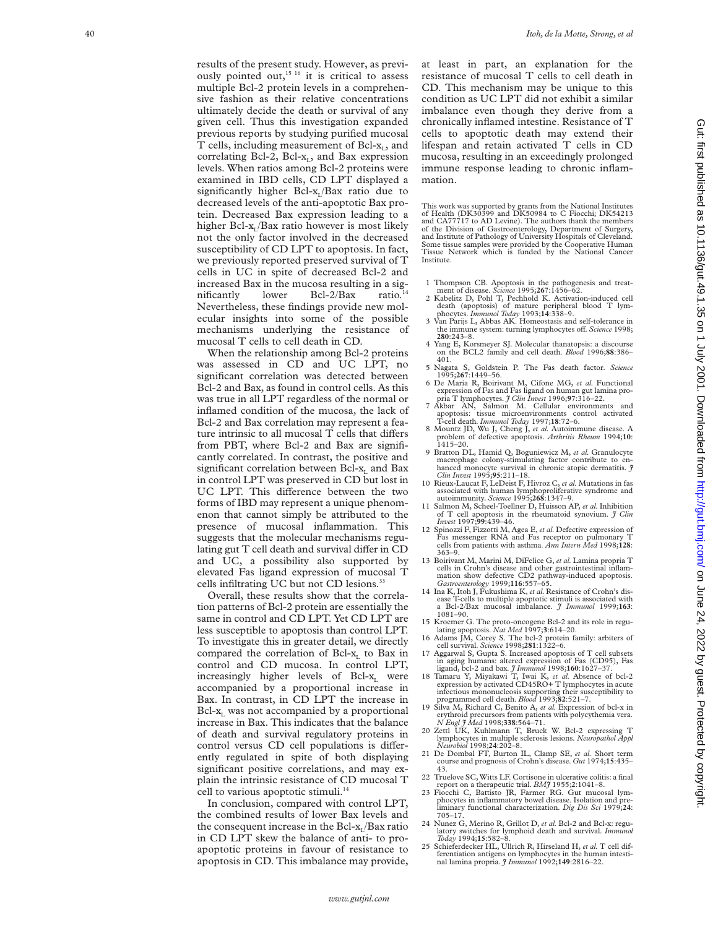results of the present study. However, as previously pointed out, $15/16$  it is critical to assess multiple Bcl-2 protein levels in a comprehensive fashion as their relative concentrations ultimately decide the death or survival of any given cell. Thus this investigation expanded previous reports by studying purified mucosal T cells, including measurement of Bcl-x L, and correlating Bcl-2, Bcl-x L, and Bax expression levels. When ratios among Bcl-2 proteins were examined in IBD cells, CD LPT displayed a significantly higher Bcl-x L/Bax ratio due to decreased levels of the anti-apoptotic Bax protein. Decreased Bax expression leading to a higher Bcl-x L/Bax ratio however is most likely not the only factor involved in the decreased susceptibility of CD LPT to apoptosis. In fact, we previously reported preserved survival of T cells in UC in spite of decreased Bcl-2 and increased Bax in the mucosa resulting in a sig $n$ ificantly lower Bcl-2/Bax ratio. Nevertheless, these findings provide new molecular insights into some of the possible mechanisms underlying the resistance of mucosal T cells to cell death in CD.

When the relationship among Bcl-2 proteins was assessed in CD and UC LPT, no significant correlation was detected between Bcl-2 and Bax, as found in control cells. As this was true in all LPT regardless of the normal or inflamed condition of the mucosa, the lack of Bcl-2 and Bax correlation may represent a feature intrinsic to all mucosal T cells that differs from PBT, where Bcl-2 and Bax are significantly correlated. In contrast, the positive and significant correlation between Bcl-x <sup>L</sup> and Bax in control LPT was preserved in CD but lost in UC LPT. This difference between the two forms of IBD may represent a unique phenomenon that cannot simply be attributed to the presence of mucosal inflammation. This suggests that the molecular mechanisms regulating gut  $T$  cell death and survival differ in  $CD$ and UC, a possibility also supported by elevated Fas ligand expression of mucosal T cells infiltrating UC but not CD lesions.<sup>33</sup>

Overall, these results show that the correlation patterns of Bcl-2 protein are essentially the same in control and CD LPT. Yet CD LPT are less susceptible to apoptosis than control LPT. To investigate this in greater detail, we directly compared the correlation of Bcl-x <sup>L</sup> to Bax in control and CD mucosa. In control LPT, increasingly higher levels of Bcl-x <sup>L</sup> were accompanied by a proportional increase in Bax. In contrast, in CD LPT the increase in Bcl-x <sup>L</sup> was not accompanied by a proportional increase in Bax. This indicates that the balance of death and survival regulatory proteins in control versus CD cell populations is differently regulated in spite of both displaying significant positive correlations, and may explain the intrinsic resistance of CD mucosal T cell to various apoptotic stimuli.<sup>1</sup>

In conclusion, compared with control LPT, the combined results of lower Bax levels and the consequent increase in the Bcl-x L/Bax ratio in CD LPT skew the balance of anti- to proapoptotic proteins in favour of resistance to apoptosis in CD. This imbalance may provide, at least in part, an explanation for the resistance of mucosal T cells to cell death in CD. This mechanism may be unique to this condition as UC LPT did not exhibit a similar imbalance even though they derive from a chronically inflamed intestine. Resistance of T cells to apoptotic death may extend their lifespan and retain activated T cells in CD mucosa, resulting in an exceedingly prolonged immune response leading to chronic inflammation.

This work was supported by grants from the National Institutes of Health (DK30399 and DK50984 to C Fiocchi; DK54213 and CA77717 to AD Levine). The authors thank the members of the Division of Gastroenterology, Department of Surgery, and Institute of Pathology of University Hospitals of Cleveland. Some tissue samples were provided by the Cooperative Human Tissue Network which is funded by the National Cancer Institute.

- 1 Thompson CB. Apoptosis in the pathogenesis and treat-ment of disease*. Science* 1995;**267**:1456–62. 2 Kabelitz D, Pohl T, Pechhold K. Activation-induced cell
- death (apoptosis) of mature peripheral blood T lym-phocytes*. Immunol Today* 1993;**14**:338–9.
- 3 Van Parijs L, Abbas AK. Homeostasis and self-tolerance in the immune system: turning lymphocytes off. *Science* 1998;<br>280:243–8.
- 4 Yang E, Korsmeyer SJ. Molecular thanatopsis: a discourse on the BCL2 family and cell death*. Blood* 1996;**88**:386– 401.
- 5 Nagata S, Goldstein P. The Fas death factor*. Science* 1995;**267**:1449–56.
- 6 De Maria R, Boirivant M, Cifone MG, *et al.* Functional expression of Fas and Fas ligand on human gut lamina propria T lymphocytes.  $\mathcal{J}$  Clin Invest 1996;97:316-22.
- 7 Akbar AN, Salmon M. Cellular environments and apoptosis: tissue microenvironments control activated apoptosis: tissue microenvironments
- T-cell death*. Immunol Today* 1997;**18**:72–6. 8 Mountz JD, Wu J, Cheng J, *et al.* Autoimmune disease. A problem of defective apoptosis*. Arthritis Rheum* 1994;**10** : 1415–20.
- 9 Bratton DL, Hamid Q, Boguniewicz M, *et al.* Granulocyte macrophage colony-stimulating factor contribute to enhanced monocyte survival in chronic atopic dermatitis*. J Clin Invest* 1995;**95**:211–18.
- 10 Rieux-Laucat F, LeDeist F, Hivroz C, *et al.*Mutations in fas associated with human lymphoproliferative syndrome and autoimmunity*. Science* 1995;**268**:1347–9.
- 11 Salmon M, Scheel-Toellner D, Huisson AP, *et al.* Inhibition of T cell apoptosis in the rheumatoid synovium*. J Clin Invest* 1997;**99**:439–46.
- 12 Spinozzi F, Fizzotti M, Agea E, *et al.* Defective expression of Fas messenger RNA and Fas receptor on pulmonary T cells from patients with asthma*. Ann Intern Med* 1998;**128** : 363–9.
- 13 Boirivant M, Marini M, DiFelice G, *et al.*Lamina propria T cells in Crohn's disease and other gastrointestinal inflam-mation show defective CD2 pathway-induced apoptosis*.*
- *Gastroenterology* 1999;**116**:557–65. 14 Ina K, Itoh J, Fukushima K, *et al.* Resistance of Crohn's disease T-cells to multiple apoptotic stimuli is associated with a Bcl-2/Bax mucosal imbalance*. J Immunol* 1999;**163** : 1081–90.
- 15 Kroemer G. The proto-oncogene Bcl-2 and its role in regulating apoptosis*. Nat Med* 1997;**3**:614–20.
- 16 Adams JM, Corey S. The bcl-2 protein family: arbiters of cell survival*. Science* 1998;**281**:1322–6. 17 Aggarwal S, Gupta S. Increased apoptosis of T cell subsets
- in aging humans: altered expression of Fas (CD95), Fas<br>ligand, bcl-2 and bax.  $\hat{f}$  Immunol 1998;160:1627-37.<br>18 Tamaru Y, Miyakawi T, Iwai K, et al. Absence of bcl-2<br>expression by activated CD45RO+ T lymphocytes in acut
- infectious mononucleosis supporting their susceptibility to programmed cell death*. Blood* 1993;**82**:521–7.
- 19 Silva M, Richard C, Benito A, *et al.* Expression of bcl-x in erythroid precursors from patients with polycythemia vera *. N Engl J Med* 1998;**338**:564–71.
- 20 Zettl UK, Kuhlmann T, Bruck W. Bcl-2 expressing T lymphocytes in multiple sclerosis lesions*. Neuropathol Appl Neurobiol* 1998;**24**:202–8.
- 21 De Dombal FT, Burton IL, Clamp SE, *et al.* Short term course and prognosis of Crohn's disease*.Gut* 1974;**15**:435– 43.
- 22 Truelove SC, Witts LF. Cortisone in ulcerative colitis: a final
- report on a therapeutic trial. BMJ 1955;2:1041-8.<br>23 Frocchi C, Battisto JR, Farmer RG. Gut mucosal lymotoges in inflammatory bowel disease. Isolation and pre-<br>liminary functional characterization. Dig Dis Sci 1979;24:<br>705
- 24 Nunez G, Merino R, Grillot D, *et al.* Bcl-2 and Bcl-x: regulatory switches for lymphoid death and survival*. Immunol Today* 1994;**15**:582–8.
- 25 Schieferdecker HL, Ullrich R, Hirseland H, *et al.* T cell differentiation antigens on lymphocytes in the human intestinal lamina propria*. J Immunol* 1992;**149**:2816–22.